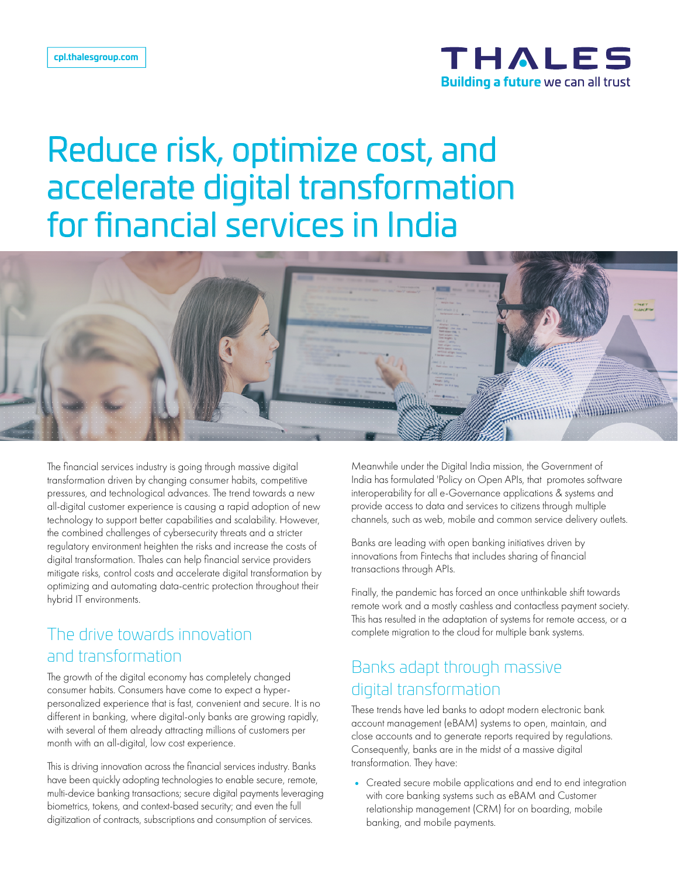

# Reduce risk, optimize cost, and accelerate digital transformation for financial services in India



The financial services industry is going through massive digital transformation driven by changing consumer habits, competitive pressures, and technological advances. The trend towards a new all-digital customer experience is causing a rapid adoption of new technology to support better capabilities and scalability. However, the combined challenges of cybersecurity threats and a stricter regulatory environment heighten the risks and increase the costs of digital transformation. Thales can help financial service providers mitigate risks, control costs and accelerate digital transformation by optimizing and automating data-centric protection throughout their hybrid IT environments.

## The drive towards innovation and transformation

The growth of the digital economy has completely changed consumer habits. Consumers have come to expect a hyperpersonalized experience that is fast, convenient and secure. It is no different in banking, where digital-only banks are growing rapidly, with several of them already attracting millions of customers per month with an all-digital, low cost experience.

This is driving innovation across the financial services industry. Banks have been quickly adopting technologies to enable secure, remote, multi-device banking transactions; secure digital payments leveraging biometrics, tokens, and context-based security; and even the full digitization of contracts, subscriptions and consumption of services.

Meanwhile under the Digital India mission, the Government of India has formulated 'Policy on Open APIs, that promotes software interoperability for all e-Governance applications & systems and provide access to data and services to citizens through multiple channels, such as web, mobile and common service delivery outlets.

Banks are leading with open banking initiatives driven by innovations from Fintechs that includes sharing of financial transactions through APIs.

Finally, the pandemic has forced an once unthinkable shift towards remote work and a mostly cashless and contactless payment society. This has resulted in the adaptation of systems for remote access, or a complete migration to the cloud for multiple bank systems.

## Banks adapt through massive digital transformation

These trends have led banks to adopt modern electronic bank account management (eBAM) systems to open, maintain, and close accounts and to generate reports required by regulations. Consequently, banks are in the midst of a massive digital transformation. They have:

• Created secure mobile applications and end to end integration with core banking systems such as eBAM and Customer relationship management (CRM) for on boarding, mobile banking, and mobile payments.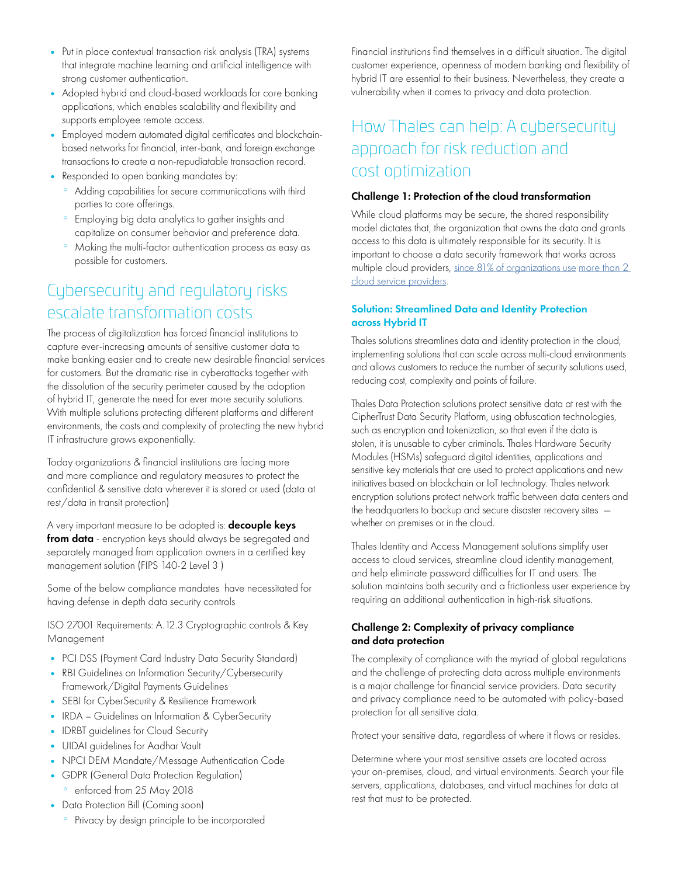- Put in place contextual transaction risk analysis (TRA) systems that integrate machine learning and artificial intelligence with strong customer authentication.
- Adopted hybrid and cloud-based workloads for core banking applications, which enables scalability and flexibility and supports employee remote access.
- Employed modern automated digital certificates and blockchainbased networks for financial, inter-bank, and foreign exchange transactions to create a non-repudiatable transaction record.
- Responded to open banking mandates by:
	- ° Adding capabilities for secure communications with third parties to core offerings.
	- Employing big data analytics to gather insights and capitalize on consumer behavior and preference data.
	- ° Making the multi-factor authentication process as easy as possible for customers.

# Cybersecurity and regulatory risks escalate transformation costs

The process of digitalization has forced financial institutions to capture ever-increasing amounts of sensitive customer data to make banking easier and to create new desirable financial services for customers. But the dramatic rise in cyberattacks together with the dissolution of the security perimeter caused by the adoption of hybrid IT, generate the need for ever more security solutions. With multiple solutions protecting different platforms and different environments, the costs and complexity of protecting the new hybrid IT infrastructure grows exponentially.

Today organizations & financial institutions are facing more and more compliance and regulatory measures to protect the confidential & sensitive data wherever it is stored or used (data at rest/data in transit protection)

A very important measure to be adopted is: **decouple keys** from data - encryption keys should always be segregated and separately managed from application owners in a certified key management solution (FIPS 140-2 Level 3 )

Some of the below compliance mandates have necessitated for having defense in depth data security controls

ISO 27001 Requirements: A.12.3 Cryptographic controls & Key Management

- PCI DSS (Payment Card Industry Data Security Standard)
- RBI Guidelines on Information Security/Cybersecurity Framework/Digital Payments Guidelines
- SEBI for CyberSecurity & Resilience Framework
- IRDA Guidelines on Information & CyberSecurity
- IDRBT guidelines for Cloud Security
- UIDAI guidelines for Aadhar Vault
- NPCI DEM Mandate/Message Authentication Code
- GDPR (General Data Protection Regulation)
	- ° enforced from 25 May 2018
- Data Protection Bill (Coming soon)
	- ° Privacy by design principle to be incorporated

Financial institutions find themselves in a difficult situation. The digital customer experience, openness of modern banking and flexibility of hybrid IT are essential to their business. Nevertheless, they create a vulnerability when it comes to privacy and data protection.

# How Thales can help: A cybersecurity approach for risk reduction and cost optimization

#### Challenge 1: Protection of the cloud transformation

While cloud platforms may be secure, the shared responsibility model dictates that, the organization that owns the data and grants access to this data is ultimately responsible for its security. It is important to choose a data security framework that works across multiple cloud providers, [since 81% of organizations use](https://cpl.thalesgroup.com/resources/encryption/2021/apac-data-threat-report) more than 2 [cloud service providers](https://cpl.thalesgroup.com/resources/encryption/2021/apac-data-threat-report).

#### Solution: Streamlined Data and Identity Protection across Hybrid IT

Thales solutions streamlines data and identity protection in the cloud, implementing solutions that can scale across multi-cloud environments and allows customers to reduce the number of security solutions used, reducing cost, complexity and points of failure.

Thales Data Protection solutions protect sensitive data at rest with the CipherTrust Data Security Platform, using obfuscation technologies, such as encryption and tokenization, so that even if the data is stolen, it is unusable to cyber criminals. Thales Hardware Security Modules (HSMs) safeguard digital identities, applications and sensitive key materials that are used to protect applications and new initiatives based on blockchain or IoT technology. Thales network encryption solutions protect network traffic between data centers and the headquarters to backup and secure disaster recovery sites whether on premises or in the cloud.

Thales Identity and Access Management solutions simplify user access to cloud services, streamline cloud identity management, and help eliminate password difficulties for IT and users. The solution maintains both security and a frictionless user experience by requiring an additional authentication in high-risk situations.

### Challenge 2: Complexity of privacy compliance and data protection

The complexity of compliance with the myriad of global regulations and the challenge of protecting data across multiple environments is a major challenge for financial service providers. Data security and privacy compliance need to be automated with policy-based protection for all sensitive data.

Protect your sensitive data, regardless of where it flows or resides.

Determine where your most sensitive assets are located across your on-premises, cloud, and virtual environments. Search your file servers, applications, databases, and virtual machines for data at rest that must to be protected.